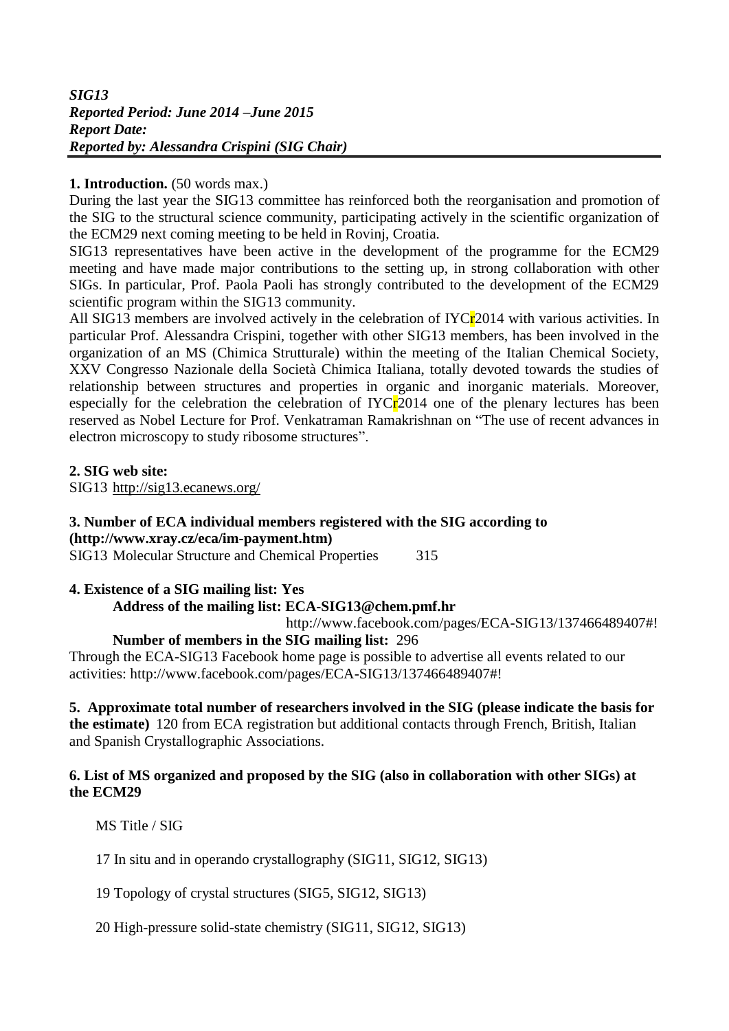## **1. Introduction.** (50 words max.)

During the last year the SIG13 committee has reinforced both the reorganisation and promotion of the SIG to the structural science community, participating actively in the scientific organization of the ECM29 next coming meeting to be held in Rovinj, Croatia.

SIG13 representatives have been active in the development of the programme for the ECM29 meeting and have made major contributions to the setting up, in strong collaboration with other SIGs. In particular, Prof. Paola Paoli has strongly contributed to the development of the ECM29 scientific program within the SIG13 community.

All SIG13 members are involved actively in the celebration of IYCr<sub>2014</sub> with various activities. In particular Prof. Alessandra Crispini, together with other SIG13 members, has been involved in the organization of an MS (Chimica Strutturale) within the meeting of the Italian Chemical Society, XXV Congresso Nazionale della Società Chimica Italiana, totally devoted towards the studies of relationship between structures and properties in organic and inorganic materials. Moreover, especially for the celebration the celebration of  $IVCr2014$  one of the plenary lectures has been reserved as Nobel Lecture for Prof. Venkatraman Ramakrishnan on "The use of recent advances in electron microscopy to study ribosome structures".

**2. SIG web site:**

SIG13 <http://sig13.ecanews.org/>

# **3. Number of ECA individual members registered with the SIG according to**

**[\(http://www.xray.cz/eca/im-payment.htm\)](http://www.xray.cz/eca/im-payment.htm)**

SIG13 Molecular Structure and Chemical Properties 315

## **4. Existence of a SIG mailing list: Yes**

## **Address of the mailing list: ECA-SIG13@chem.pmf.hr**

http://www.facebook.com/pages/ECA-SIG13/137466489407#!

## **Number of members in the SIG mailing list:** 296

Through the ECA-SIG13 Facebook home page is possible to advertise all events related to our activities: http://www.facebook.com/pages/ECA-SIG13/137466489407#!

## **5. Approximate total number of researchers involved in the SIG (please indicate the basis for**

**the estimate)** 120 from ECA registration but additional contacts through French, British, Italian and Spanish Crystallographic Associations.

#### **6. List of MS organized and proposed by the SIG (also in collaboration with other SIGs) at the ECM29**

MS Title / SIG

17 In situ and in operando crystallography (SIG11, SIG12, SIG13)

19 Topology of crystal structures (SIG5, SIG12, SIG13)

20 High-pressure solid-state chemistry (SIG11, SIG12, SIG13)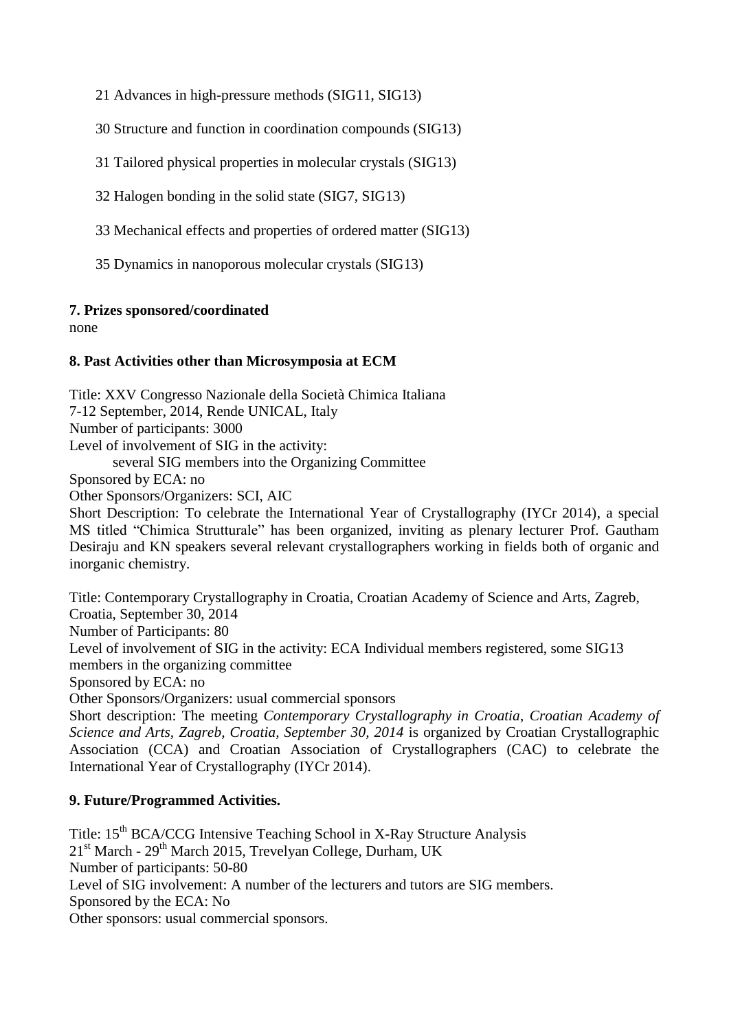21 Advances in high-pressure methods (SIG11, SIG13)

30 Structure and function in coordination compounds (SIG13)

31 Tailored physical properties in molecular crystals (SIG13)

32 Halogen bonding in the solid state (SIG7, SIG13)

33 Mechanical effects and properties of ordered matter (SIG13)

35 Dynamics in nanoporous molecular crystals (SIG13)

#### **7. Prizes sponsored/coordinated**

inorganic chemistry.

none

### **8. Past Activities other than Microsymposia at ECM**

Title: XXV Congresso Nazionale della Società Chimica Italiana 7-12 September, 2014, Rende UNICAL, Italy Number of participants: 3000 Level of involvement of SIG in the activity: several SIG members into the Organizing Committee Sponsored by ECA: no Other Sponsors/Organizers: SCI, AIC Short Description: To celebrate the International Year of Crystallography (IYCr 2014), a special MS titled "Chimica Strutturale" has been organized, inviting as plenary lecturer Prof. Gautham Desiraju and KN speakers several relevant crystallographers working in fields both of organic and

Title: Contemporary Crystallography in Croatia, Croatian Academy of Science and Arts, Zagreb, Croatia, September 30, 2014 Number of Participants: 80 Level of involvement of SIG in the activity: ECA Individual members registered, some SIG13 members in the organizing committee Sponsored by ECA: no Other Sponsors/Organizers: usual commercial sponsors Short description: The meeting *Contemporary Crystallography in Croatia*, *Croatian Academy of Science and Arts, Zagreb, Croatia, September 30, 2014* is organized by Croatian Crystallographic Association (CCA) and Croatian Association of Crystallographers (CAC) to celebrate the International Year of Crystallography (IYCr 2014).

## **9. Future/Programmed Activities.**

Title: 15<sup>th</sup> BCA/CCG Intensive Teaching School in X-Ray Structure Analysis 21<sup>st</sup> March - 29<sup>th</sup> March 2015, Trevelyan College, Durham, UK Number of participants: 50-80 Level of SIG involvement: A number of the lecturers and tutors are SIG members. Sponsored by the ECA: No Other sponsors: usual commercial sponsors.